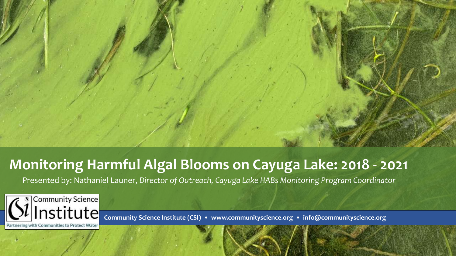

### **Monitoring Harmful Algal Blooms on Cayuga Lake: 2018 - 2021**

Presented by: Nathaniel Launer, *Director of Outreach, Cayuga Lake HABs Monitoring Program Coordinator* 



**Community Science Institute (CSI) • www.communityscience.org • info@communityscience.org**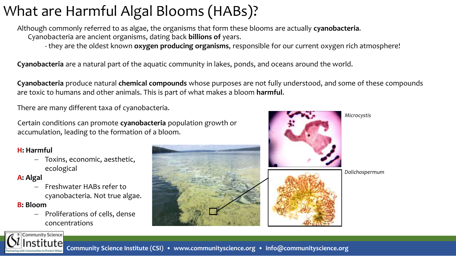# What are Harmful Algal Blooms (HABs)?

Although commonly referred to as algae, the organisms that form these blooms are actually **cyanobacteria**. Cyanobacteria are ancient organisms, dating back **billions of** years.

- they are the oldest known **oxygen producing organisms**, responsible for our current oxygen rich atmosphere!

**Cyanobacteria** are a natural part of the aquatic community in lakes, ponds, and oceans around the world.

**Cyanobacteria** produce natural **chemical compounds** whose purposes are not fully understood, and some of these compounds are toxic to humans and other animals. This is part of what makes a bloom **harmful**.

There are many different taxa of cyanobacteria.

Certain conditions can promote **cyanobacteria** population growth or accumulation, leading to the formation of a bloom.

### **H: Harmful**

− Toxins, economic, aesthetic, ecological

### **A: Algal**

− Freshwater HABs refer to cyanobacteria. Not true algae.

### **B: Bloom**

− Proliferations of cells, dense concentrations





*Microcystis*



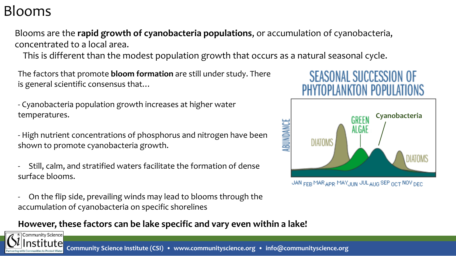### Blooms

Community Science

Blooms are the **rapid growth of cyanobacteria populations**, or accumulation of cyanobacteria, concentrated to a local area.

This is different than the modest population growth that occurs as a natural seasonal cycle.

The factors that promote **bloom formation** are still under study. There is general scientific consensus that…

- Cyanobacteria population growth increases at higher water temperatures.

- High nutrient concentrations of phosphorus and nitrogen have been shown to promote cyanobacteria growth.

- Still, calm, and stratified waters facilitate the formation of dense surface blooms.
- On the flip side, prevailing winds may lead to blooms through the accumulation of cyanobacteria on specific shorelines

### **However, these factors can be lake specific and vary even within a lake!**







JAN FEB MAR APRIMAY, JUN JULAUG SEP OCT NOVIDED.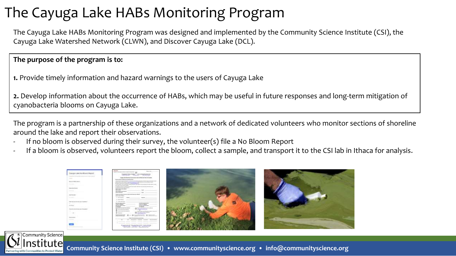## The Cayuga Lake HABs Monitoring Program

The Cayuga Lake HABs Monitoring Program was designed and implemented by the Community Science Institute (CSI), the Cayuga Lake Watershed Network (CLWN), and Discover Cayuga Lake (DCL).

### **The purpose of the program is to:**

**1.** Provide timely information and hazard warnings to the users of Cayuga Lake

**2.** Develop information about the occurrence of HABs, which may be useful in future responses and long-term mitigation of cyanobacteria blooms on Cayuga Lake.

The program is a partnership of these organizations and a network of dedicated volunteers who monitor sections of shoreline around the lake and report their observations.

- If no bloom is observed during their survey, the volunteer(s) file a No Bloom Report
- If a bloom is observed, volunteers report the bloom, collect a sample, and transport it to the CSI lab in Ithaca for analysis.

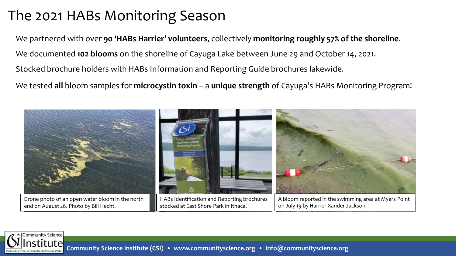## The 2021 HABs Monitoring Season

**Community Science** 

We partnered with over **90 'HABs Harrier' volunteers**, collectively **monitoring roughly 57% of the shoreline**. We documented **102 blooms** on the shoreline of Cayuga Lake between June 29 and October 14, 2021. We tested **all** bloom samples for **microcystin toxin** – a **unique strength** of Cayuga's HABs Monitoring Program! Stocked brochure holders with HABs Information and Reporting Guide brochures lakewide.



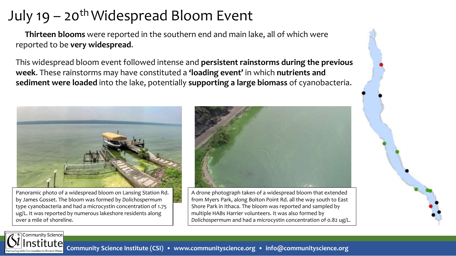# July 19 – 20<sup>th</sup> Widespread Bloom Event

**Thirteen blooms** were reported in the southern end and main lake, all of which were reported to be **very widespread**.

This widespread bloom event followed intense and **persistent rainstorms during the previous week**. These rainstorms may have constituted a **'loading event'** in which **nutrients and sediment were loaded** into the lake, potentially **supporting a large biomass** of cyanobacteria.



Panoramic photo of a widespread bloom on Lansing Station Rd. by James Gosset. The bloom was formed by *Dolichospermum*  type cyanobacteria and had a microcystin concentration of 1.75 ug/L. It was reported by numerous lakeshore residents along over a mile of shoreline.



A drone photograph taken of a widespread bloom that extended from Myers Park, along Bolton Point Rd. all the way south to East Shore Park in Ithaca. The bloom was reported and sampled by multiple HABs Harrier volunteers. It was also formed by *Dolichospermum* and had a microcystin concentration of 0.82 ug/L.

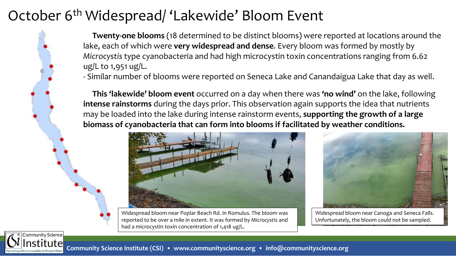## October 6<sup>th</sup> Widespread/ 'Lakewide' Bloom Event

**Twenty-one blooms** (18 determined to be distinct blooms) were reported at locations around the lake, each of which were **very widespread and dense**. Every bloom was formed by mostly by *Microcystis* type cyanobacteria and had high microcystin toxin concentrations ranging from 6.62 ug/L to 1,951 ug/L.

- Similar number of blooms were reported on Seneca Lake and Canandaigua Lake that day as well.

**This 'lakewide' bloom event** occurred on a day when there was **'no wind'** on the lake, following **intense rainstorms** during the days prior. This observation again supports the idea that nutrients may be loaded into the lake during intense rainstorm events, **supporting the growth of a large biomass of cyanobacteria that can form into blooms if facilitated by weather conditions.**



Widespread bloom near Poplar Beach Rd. in Romulus. The bloom was reported to be over a mile in extent. It was formed by *Microcystis* and had a microcystin toxin concentration of 1,418 ug/L.



Widespread bloom near Canoga and Seneca Falls. Unfortunately, the bloom could not be sampled.

Community Science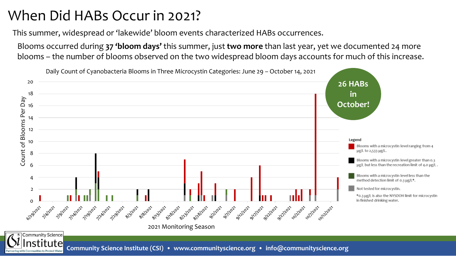## When Did HABs Occur in 2021?

This summer, widespread or 'lakewide' bloom events characterized HABs occurrences.

Blooms occurred during **37 'bloom days'** this summer, just **two more** than last year, yet we documented 24 more blooms – the number of blooms observed on the two widespread bloom days accounts for much of this increase.

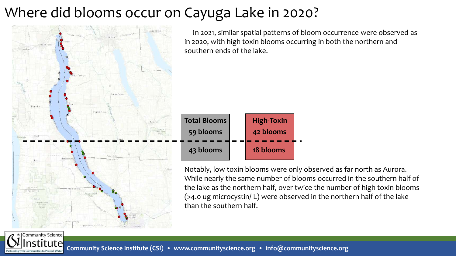# Where did blooms occur on Cayuga Lake in 2020?



**Community Science** 

In 2021, similar spatial patterns of bloom occurrence were observed as in 2020, with high toxin blooms occurring in both the northern and southern ends of the lake.



Notably, low toxin blooms were only observed as far north as Aurora. While nearly the same number of blooms occurred in the southern half of the lake as the northern half, over twice the number of high toxin blooms (>4.0 ug microcystin/ L) were observed in the northern half of the lake than the southern half.

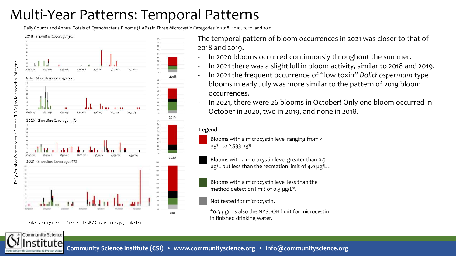## Multi-Year Patterns: Temporal Patterns

Daily Counts and Annual Totals of Cyanobacteria Blooms (HABs) in Three Microcystin Categories in 2018, 2019, 2020, and 2021



Daily Count of Cyanobacteria Blooms (HABs) by Microcystin Category



Dates when Cyanobacteria Blooms (HABs) Occurred on Cayuga Lakeshore

**Community Science** 

The temporal pattern of bloom occurrences in 2021 was closer to that of 2018 and 2019.

- In 2020 blooms occurred continuously throughout the summer.
- In 2021 there was a slight lull in bloom activity, similar to 2018 and 2019.
- In 2021 the frequent occurrence of "low toxin" *Dolichospermum* type blooms in early July was more similar to the pattern of 2019 bloom occurrences.
- In 2021, there were 26 blooms in October! Only one bloom occurred in October in 2020, two in 2019, and none in 2018.

#### **Legend**

Blooms with a microcystin level ranging from 4 µg/L to 2,533 µg/L.

Blooms with a microcystin level greater than 0.3 µg/L but less than the recreation limit of 4.0 µg/L.

Blooms with a microcystin level less than the method detection limit of 0.3  $\mu$ g/L\*.

Not tested for microcystin.

\*0.3 µg/L is also the NYSDOH limit for microcystin in finished drinking water.

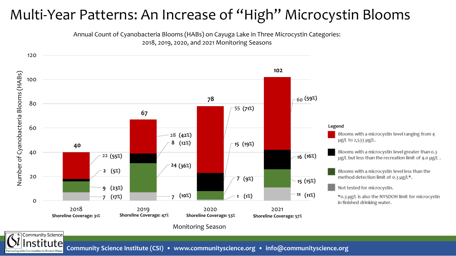## Multi-Year Patterns: An Increase of "High" Microcystin Blooms

Annual Count of Cyanobacteria Blooms (HABs) on Cayuga Lake in Three Microcystin Categories: 2018, 2019, 2020, and 2021 Monitoring Seasons

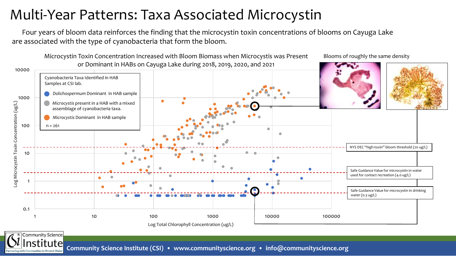## Multi-Year Patterns: Taxa Associated Microcystin

Four years of bloom data reinforces the finding that the microcystin toxin concentrations of blooms on Cayuga Lake are associated with the type of cyanobacteria that form the bloom.



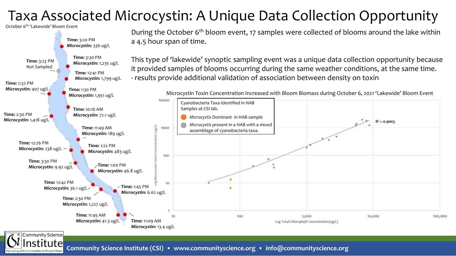## Taxa Associated Microcystin: A Unique Data Collection Opportunity

October 6th 'Lakewide' Bloom Event

Community Science



During the October 6<sup>th</sup> bloom event, 17 samples were collected of blooms around the lake within a 4.5 hour span of time.

This type of 'lakewide' synoptic sampling event was a unique data collection opportunity because it provided samples of blooms occurring during the same weather conditions, at the same time. - results provide additional validation of association between density on toxin

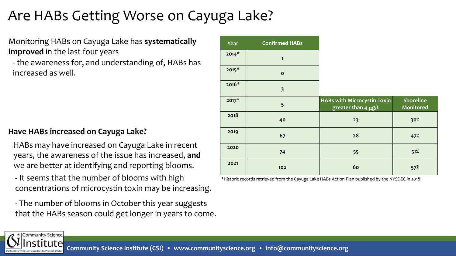## Are HABs Getting Worse on Cayuga Lake?

Monitoring HABs on Cayuga Lake has **systematically improved** in the last four years

- the awareness for, and understanding of, HABs has increased as well.

### **Have HABs increased on Cayuga Lake?**

HABs may have increased on Cayuga Lake in recent years, the awareness of the issue has increased, **and** we are better at identifying and reporting blooms.

- It seems that the number of blooms with high concentrations of microcystin toxin may be increasing.

- The number of blooms in October this year suggests that the HABs season could get longer in years to come.

| Year    | <b>Confirmed HABs</b>   |                                                         |                                      |
|---------|-------------------------|---------------------------------------------------------|--------------------------------------|
| $2014*$ | $\mathbf{1}$            |                                                         |                                      |
| $2015*$ | $\mathbf{o}$            |                                                         |                                      |
| $2016*$ | $\overline{\mathbf{3}}$ |                                                         |                                      |
| $2017*$ | 5                       | HABs with Microcystin Toxin<br>greater than 4 $\mu$ g/L | <b>Shoreline</b><br><b>Monitored</b> |
| 2018    | 40                      | 23                                                      | 30%                                  |
| 2019    | 67                      | 28                                                      | 47%                                  |
| 2020    | 74                      | 55                                                      | 51%                                  |
| 2021    | 102                     | 60                                                      | 57%                                  |

\*Historic records retrieved from the Cayuga Lake HABs Action Plan published by the NYSDEC in 2018

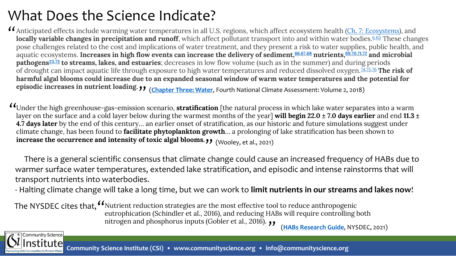## What Does the Science Indicate?

Anticipated effects include warming water temperatures in all U.S. regions, which affect ecosystem health *([Ch. 7: Ecosystems\)](https://nca2018.globalchange.gov/chapter/7)*, and " locally variable changes in precipitation and runoff, which affect pollutant transport into and within water bodies.<sup>[6](https://nca2018.globalchange.gov/chapter/3/#fn:6),[65](https://nca2018.globalchange.gov/chapter/3/#fn:65)</sup> These changes pose challenges related to the cost and implications of water treatment, and they present a risk to water supplies, public health, and aquatic ecosystems. **Increases in high flow events can increase the delivery of sediment,[66](https://nca2018.globalchange.gov/chapter/3/#fn:66),[67](https://nca2018.globalchange.gov/chapter/3/#fn:67),[68](https://nca2018.globalchange.gov/chapter/3/#fn:68) nutrients, [69,](https://nca2018.globalchange.gov/chapter/3/#fn:69)[70,](https://nca2018.globalchange.gov/chapter/3/#fn:70)[71](https://nca2018.globalchange.gov/chapter/3/#fn:71)[,72](https://nca2018.globalchange.gov/chapter/3/#fn:72) and microbial pathogens[23,](https://nca2018.globalchange.gov/chapter/3/#fn:23)[73](https://nca2018.globalchange.gov/chapter/3/#fn:73) to streams, lakes, and estuaries**; decreases in low flow volume (such as in the summer) and during periods of drought can impact aquatic life through exposure to high water temperatures and reduced dissolved oxygen.[74](https://nca2018.globalchange.gov/chapter/3/#fn:74)[,75](https://nca2018.globalchange.gov/chapter/3/#fn:75)[,76](https://nca2018.globalchange.gov/chapter/3/#fn:76) **The risk of harmful algal blooms could increase due to an expanded seasonal window of warm water temperatures and the potential for episodic increases in nutrient loading.**  " (**[Chapter Three: Water](https://nca2018.globalchange.gov/chapter/3/)**, Fourth National Climate Assessment: Volume 2, 2018)

Under the high greenhouse-gas-emission scenario, **stratification** [the natural process in which lake water separates into a warm " layer on the surface and a cold layer below during the warmest months of the year] **will begin 22.0 ± 7.0 days earlier** and end **11.3 ± 4.7 days later** by the end of this century… an earlier onset of stratification, as our historic and future simulations suggest under climate change, has been found to **facilitate phytoplankton growth**… a prolonging of lake stratification has been shown to increase the occurrence and intensity of toxic algal blooms. **(Wooley, et al., 2021)** 

There is a general scientific consensus that climate change could cause an increased frequency of HABs due to warmer surface water temperatures, extended lake stratification, and episodic and intense rainstorms that will transport nutrients into waterbodies.

- Halting climate change will take a long time, but we can work to **limit nutrients in our streams and lakes now**!

The NYSDEC cites that, <sup>"</sup>Nutrient reduction strategies are the most effective tool to reduce anthropogenic eutrophication (Schindler et al., 2016), and reducing HABs will require controlling both nitrogen and phosphorus inputs (Gobler et al., 2016).  $\rightarrow$ 

(**[HABs Research Guide](https://www.dec.ny.gov/docs/water_pdf/researchguide.pdf)**, NYSDEC, 2021)

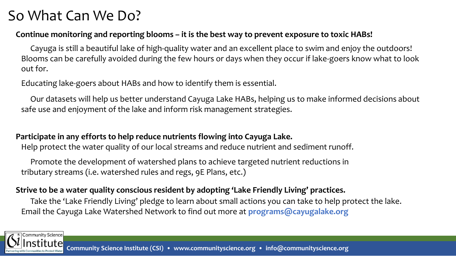## So What Can We Do?

### **Continue monitoring and reporting blooms – it is the best way to prevent exposure to toxic HABs!**

Cayuga is still a beautiful lake of high-quality water and an excellent place to swim and enjoy the outdoors! Blooms can be carefully avoided during the few hours or days when they occur if lake-goers know what to look out for.

Educating lake-goers about HABs and how to identify them is essential.

Our datasets will help us better understand Cayuga Lake HABs, helping us to make informed decisions about safe use and enjoyment of the lake and inform risk management strategies.

### **Participate in any efforts to help reduce nutrients flowing into Cayuga Lake.**

Help protect the water quality of our local streams and reduce nutrient and sediment runoff.

Promote the development of watershed plans to achieve targeted nutrient reductions in tributary streams (i.e. watershed rules and regs, 9E Plans, etc.)

### **Strive to be a water quality conscious resident by adopting 'Lake Friendly Living' practices.**

Take the 'Lake Friendly Living' pledge to learn about small actions you can take to help protect the lake. Email the Cayuga Lake Watershed Network to find out more at **programs@cayugalake.org**